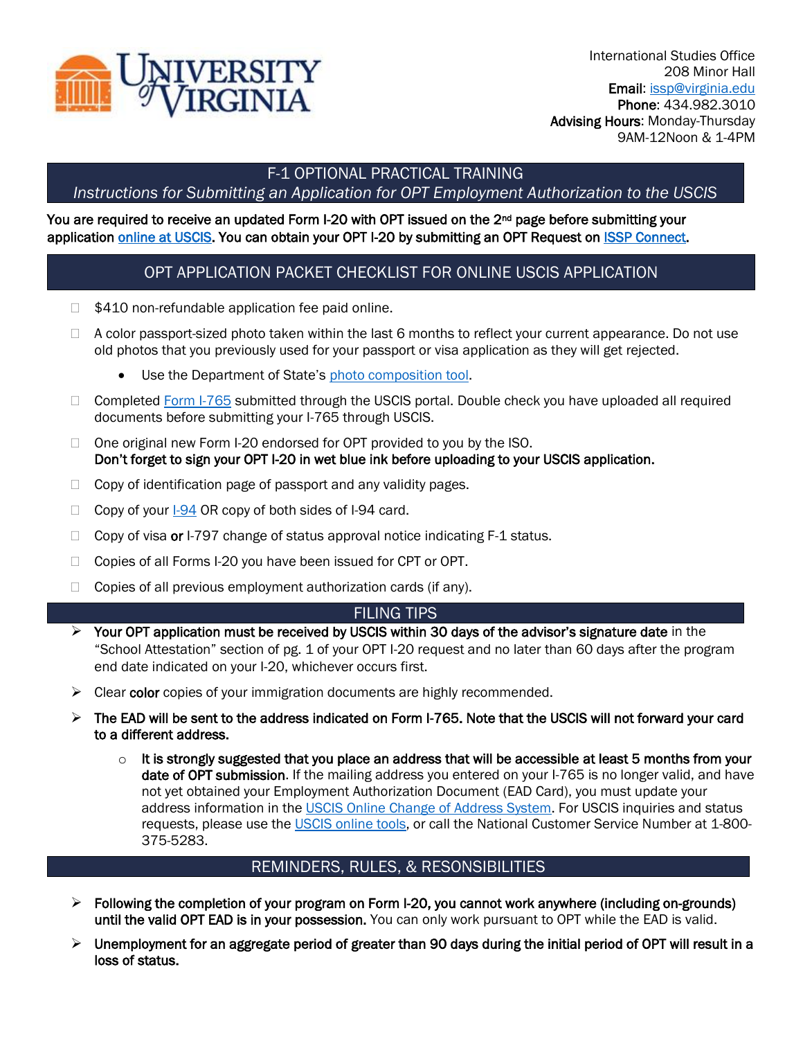

# F-1 OPTIONAL PRACTICAL TRAINING

## *Instructions for Submitting an Application for OPT Employment Authorization to the USCIS*

#### You are required to receive an updated Form I-20 with OPT issued on the 2<sup>nd</sup> page before submitting your application [online at USCIS.](https://my.uscis.gov/) You can obtain your OPT I-20 by submitting an OPT Request on [ISSP Connect.](https://myuva.sharepoint.com/sites/ISSPAdvisors/Shared%20Documents/General/connect.issp.virginia.edu)

## OPT APPLICATION PACKET CHECKLIST FOR ONLINE USCIS APPLICATION

- \$410 non-refundable application fee paid online.
- $\Box$  A color passport-sized photo taken within the last 6 months to reflect your current appearance. Do not use old photos that you previously used for your passport or visa application as they will get rejected.
	- Use the Department of State's [photo composition tool.](https://travel.state.gov/content/travel/en/us-visas/visa-information-resources/photos.html)
- $\Box$  Completed [Form I-765](https://www.uscis.gov/i-765) submitted through the USCIS portal. Double check you have uploaded all required documents before submitting your I-765 through USCIS.
- $\Box$  One original new Form I-20 endorsed for OPT provided to you by the ISO. Don't forget to sign your OPT I-20 in wet blue ink before uploading to your USCIS application.
- $\Box$  Copy of identification page of passport and any validity pages.
- $\Box$  Copy of your  $1-94$  OR copy of both sides of I-94 card.
- $\Box$  Copy of visa or I-797 change of status approval notice indicating F-1 status.
- □ Copies of all Forms I-20 you have been issued for CPT or OPT.
- $\Box$  Copies of all previous employment authorization cards (if any).

### FILING TIPS

- $\triangleright$  Your OPT application must be received by USCIS within 30 days of the advisor's signature date in the "School Attestation" section of pg. 1 of your OPT I-20 request and no later than 60 days after the program end date indicated on your I-20, whichever occurs first.
- ➢ Clear color copies of your immigration documents are highly recommended.
- ➢ The EAD will be sent to the address indicated on Form I-765. Note that the USCIS will not forward your card to a different address.
	- $\circ$  It is strongly suggested that you place an address that will be accessible at least 5 months from your date of OPT submission. If the mailing address you entered on your I-765 is no longer valid, and have not yet obtained your Employment Authorization Document (EAD Card), you must update your address information in the [USCIS Online Change of Address System.](https://egov.uscis.gov/coa/displayCOAForm.do) For USCIS inquiries and status requests, please use the [USCIS online tools,](https://www.uscis.gov/tools) or call the National Customer Service Number at 1-800-375-5283.

### REMINDERS, RULES, & RESONSIBILITIES

- $\triangleright$  Following the completion of your program on Form I-20, you cannot work anywhere (including on-grounds) until the valid OPT EAD is in your possession. You can only work pursuant to OPT while the EAD is valid.
- $\triangleright$  Unemployment for an aggregate period of greater than 90 days during the initial period of OPT will result in a loss of status.